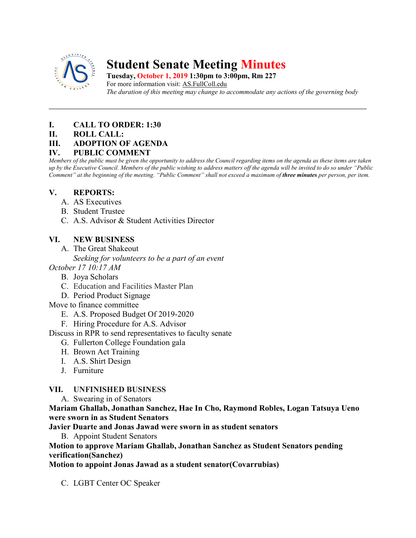

# **Student Senate Meeting Minutes**

**Tuesday, October 1, 2019 1:30pm to 3:00pm, Rm 227** For more information visit: AS.FullColl.edu *The duration of this meeting may change to accommodate any actions of the governing body*

### **I. CALL TO ORDER: 1:30**

**II. ROLL CALL:** 

### **III. ADOPTION OF AGENDA**

#### **IV. PUBLIC COMMENT**

*Members of the public must be given the opportunity to address the Council regarding items on the agenda as these items are taken up by the Executive Council. Members of the public wishing to address matters off the agenda will be invited to do so under "Public Comment" at the beginning of the meeting. "Public Comment" shall not exceed a maximum of three minutes per person, per item.*

### **V. REPORTS:**

- A. AS Executives
- B. Student Trustee
- C. A.S. Advisor & Student Activities Director

## **VI. NEW BUSINESS**

A. The Great Shakeout

*Seeking for volunteers to be a part of an event*

- *October 17 10:17 AM*
	- B. Joya Scholars
	- C. Education and Facilities Master Plan
	- D. Period Product Signage

### Move to finance committee

- E. A.S. Proposed Budget Of 2019-2020
- F. Hiring Procedure for A.S. Advisor
- Discuss in RPR to send representatives to faculty senate
	- G. Fullerton College Foundation gala
	- H. Brown Act Training
	- I. A.S. Shirt Design
	- J. Furniture

### **VII. UNFINISHED BUSINESS**

A. Swearing in of Senators

**Mariam Ghallab, Jonathan Sanchez, Hae In Cho, Raymond Robles, Logan Tatsuya Ueno were sworn in as Student Senators**

**Javier Duarte and Jonas Jawad were sworn in as student senators**

B. Appoint Student Senators

**Motion to approve Mariam Ghallab, Jonathan Sanchez as Student Senators pending verification(Sanchez)**

**Motion to appoint Jonas Jawad as a student senator(Covarrubias)**

C. LGBT Center OC Speaker